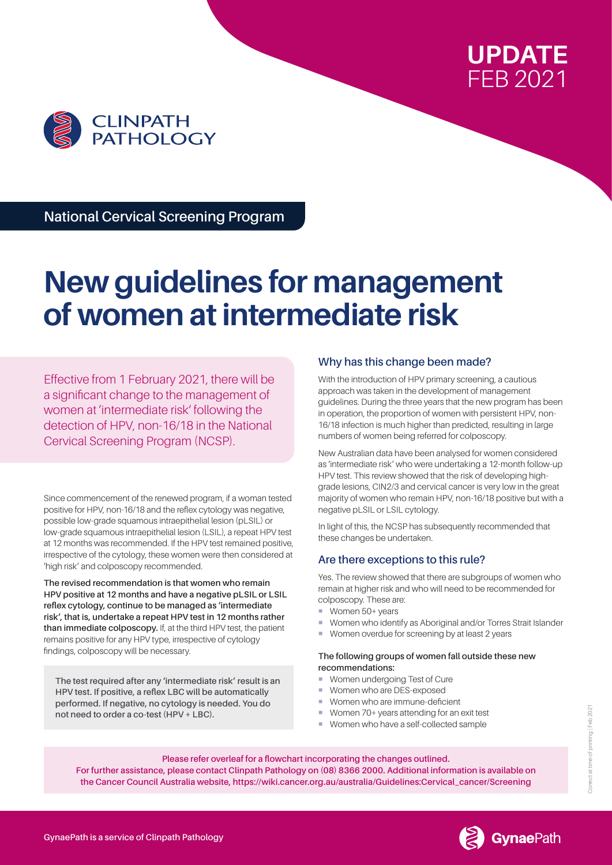



**National Cervical Screening Program**

# **New guidelines for management of women at intermediate risk**

Effective from 1 February 2021, there will be a significant change to the management of women at 'intermediate risk' following the detection of HPV, non-16/18 in the National Cervical Screening Program (NCSP).

Since commencement of the renewed program, if a woman tested positive for HPV, non-16/18 and the reflex cytology was negative, possible low-grade squamous intraepithelial lesion (pLSIL) or low-grade squamous intraepithelial lesion (LSIL), a repeat HPV test at 12 months was recommended. If the HPV test remained positive, irrespective of the cytology, these women were then considered at 'high risk' and colposcopy recommended.

**The revised recommendation is that women who remain HPV positive at 12 months and have a negative pLSIL or LSIL reflex cytology, continue to be managed as 'intermediate risk', that is, undertake a repeat HPV test in 12 months rather than immediate colposcopy.** If, at the third HPV test, the patient remains positive for any HPV type, irrespective of cytology findings, colposcopy will be necessary.

**The test required after any 'intermediate risk' result is an HPV test. If positive, a reflex LBC will be automatically performed. If negative, no cytology is needed. You do not need to order a co-test (HPV + LBC).**

# **Why has this change been made?**

With the introduction of HPV primary screening, a cautious approach was taken in the development of management guidelines. During the three years that the new program has been in operation, the proportion of women with persistent HPV, non-16/18 infection is much higher than predicted, resulting in large numbers of women being referred for colposcopy.

New Australian data have been analysed for women considered as 'intermediate risk' who were undertaking a 12-month follow-up HPV test. This review showed that the risk of developing highgrade lesions, CIN2/3 and cervical cancer is very low in the great majority of women who remain HPV, non-16/18 positive but with a negative pLSIL or LSIL cytology.

In light of this, the NCSP has subsequently recommended that these changes be undertaken.

# **Are there exceptions to this rule?**

Yes. The review showed that there are subgroups of women who remain at higher risk and who will need to be recommended for colposcopy. These are:

- Women 50+ years
- Women who identify as Aboriginal and/or Torres Strait Islander
- Women overdue for screening by at least 2 years

### **The following groups of women fall outside these new recommendations:**

- **Women undergoing Test of Cure**
- Women who are DES-exposed
- **Women who are immune-deficient**
- Women 70+ years attending for an exit test
- Women who have a self-collected sample

### **Please refer overleaf for a flowchart incorporating the changes outlined. For further assistance, please contact Clinpath Pathology on (08) 8366 2000. Additional information is available on the Cancer Council Australia website, https://wiki.cancer.org.au/australia/Guidelines:Cervical\_cancer/Screening**